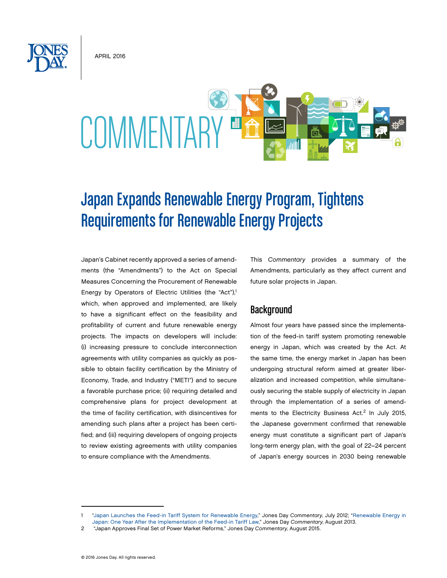April 2016



# Japan Expands Renewable Energy Program, Tightens Requirements for Renewable Energy Projects

Japan's Cabinet recently approved a series of amendments (the "Amendments") to the Act on Special Measures Concerning the Procurement of Renewable Energy by Operators of Electric Utilities (the "Act"),<sup>1</sup> which, when approved and implemented, are likely to have a significant effect on the feasibility and profitability of current and future renewable energy projects. The impacts on developers will include: (i) increasing pressure to conclude interconnection agreements with utility companies as quickly as possible to obtain facility certification by the Ministry of Economy, Trade, and Industry ("METI") and to secure a favorable purchase price; (ii) requiring detailed and comprehensive plans for project development at the time of facility certification, with disincentives for amending such plans after a project has been certified; and (iii) requiring developers of ongoing projects to review existing agreements with utility companies to ensure compliance with the Amendments.

This *Commentary* provides a summary of the Amendments, particularly as they affect current and future solar projects in Japan.

# **Background**

Almost four years have passed since the implementation of the feed-in tariff system promoting renewable energy in Japan, which was created by the Act. At the same time, the energy market in Japan has been undergoing structural reform aimed at greater liberalization and increased competition, while simultaneously securing the stable supply of electricity in Japan through the implementation of a series of amendments to the Electricity Business Act.<sup>2</sup> In July 2015, the Japanese government confirmed that renewable energy must constitute a significant part of Japan's long-term energy plan, with the goal of 22–24 percent of Japan's energy sources in 2030 being renewable

<sup>1</sup> ["Japan Launches the Feed-in Tariff System for Renewable Energy,](http://www.jonesday.com/japan_launches_feed-in_tariff_system/)" Jones Day *Commentary*, July 2012; ["Renewable Energy in](http://www.jonesday.com/renewable-energy-in-japan-one-year-after-the-implementation-of-the-feed-in-tariff-law-08-08-2013/) [Japan: One Year After the Implementation of the Feed-in Tariff Law,](http://www.jonesday.com/renewable-energy-in-japan-one-year-after-the-implementation-of-the-feed-in-tariff-law-08-08-2013/)" Jones Day *Commentary*, August 2013.

<sup>2</sup> ["Japan Approves Final Set of Power Market Reforms,](http://www.jonesday.com/japan-approves-final-set-of-power-market-reforms-08-19-2015/)" Jones Day *Commentary*, August 2015.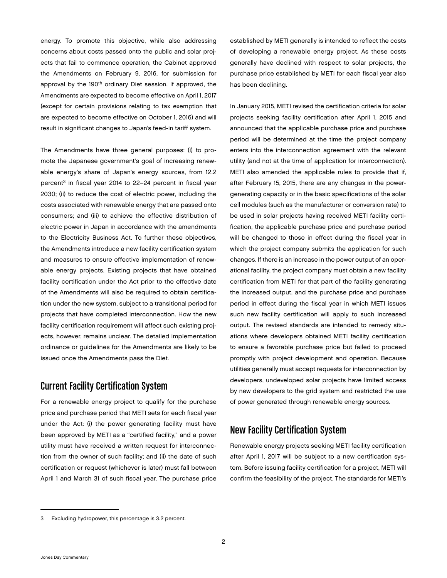energy. To promote this objective, while also addressing concerns about costs passed onto the public and solar projects that fail to commence operation, the Cabinet approved the Amendments on February 9, 2016, for submission for approval by the 190<sup>th</sup> ordinary Diet session. If approved, the Amendments are expected to become effective on April 1, 2017 (except for certain provisions relating to tax exemption that are expected to become effective on October 1, 2016) and will result in significant changes to Japan's feed-in tariff system.

The Amendments have three general purposes: (i) to promote the Japanese government's goal of increasing renewable energy's share of Japan's energy sources, from 12.2 percent<sup>3</sup> in fiscal year 2014 to 22–24 percent in fiscal year 2030; (ii) to reduce the cost of electric power, including the costs associated with renewable energy that are passed onto consumers; and (iii) to achieve the effective distribution of electric power in Japan in accordance with the amendments to the Electricity Business Act. To further these objectives, the Amendments introduce a new facility certification system and measures to ensure effective implementation of renewable energy projects. Existing projects that have obtained facility certification under the Act prior to the effective date of the Amendments will also be required to obtain certification under the new system, subject to a transitional period for projects that have completed interconnection. How the new facility certification requirement will affect such existing projects, however, remains unclear. The detailed implementation ordinance or guidelines for the Amendments are likely to be issued once the Amendments pass the Diet.

# Current Facility Certification System

For a renewable energy project to qualify for the purchase price and purchase period that METI sets for each fiscal year under the Act: (i) the power generating facility must have been approved by METI as a "certified facility," and a power utility must have received a written request for interconnection from the owner of such facility; and (ii) the date of such certification or request (whichever is later) must fall between April 1 and March 31 of such fiscal year. The purchase price

established by METI generally is intended to reflect the costs of developing a renewable energy project. As these costs generally have declined with respect to solar projects, the purchase price established by METI for each fiscal year also has been declining.

In January 2015, METI revised the certification criteria for solar projects seeking facility certification after April 1, 2015 and announced that the applicable purchase price and purchase period will be determined at the time the project company enters into the interconnection agreement with the relevant utility (and not at the time of application for interconnection). METI also amended the applicable rules to provide that if, after February 15, 2015, there are any changes in the powergenerating capacity or in the basic specifications of the solar cell modules (such as the manufacturer or conversion rate) to be used in solar projects having received METI facility certification, the applicable purchase price and purchase period will be changed to those in effect during the fiscal year in which the project company submits the application for such changes. If there is an increase in the power output of an operational facility, the project company must obtain a new facility certification from METI for that part of the facility generating the increased output, and the purchase price and purchase period in effect during the fiscal year in which METI issues such new facility certification will apply to such increased output. The revised standards are intended to remedy situations where developers obtained METI facility certification to ensure a favorable purchase price but failed to proceed promptly with project development and operation. Because utilities generally must accept requests for interconnection by developers, undeveloped solar projects have limited access by new developers to the grid system and restricted the use of power generated through renewable energy sources.

# New Facility Certification System

Renewable energy projects seeking METI facility certification after April 1, 2017 will be subject to a new certification system. Before issuing facility certification for a project, METI will confirm the feasibility of the project. The standards for METI's

<sup>3</sup> Excluding hydropower, this percentage is 3.2 percent.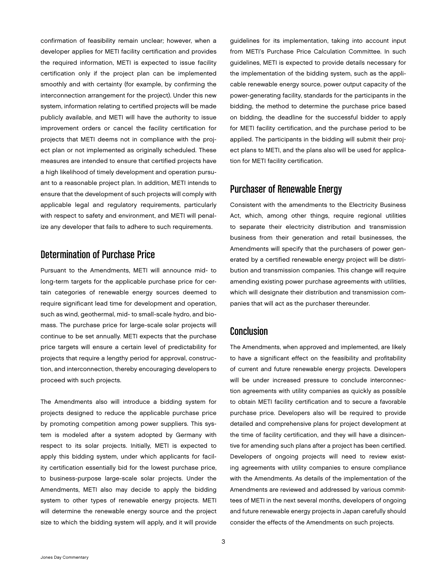confirmation of feasibility remain unclear; however, when a developer applies for METI facility certification and provides the required information, METI is expected to issue facility certification only if the project plan can be implemented smoothly and with certainty (for example, by confirming the interconnection arrangement for the project). Under this new system, information relating to certified projects will be made publicly available, and METI will have the authority to issue improvement orders or cancel the facility certification for projects that METI deems not in compliance with the project plan or not implemented as originally scheduled. These measures are intended to ensure that certified projects have a high likelihood of timely development and operation pursuant to a reasonable project plan. In addition, METI intends to ensure that the development of such projects will comply with applicable legal and regulatory requirements, particularly with respect to safety and environment, and METI will penalize any developer that fails to adhere to such requirements.

# Determination of Purchase Price

Pursuant to the Amendments, METI will announce mid- to long-term targets for the applicable purchase price for certain categories of renewable energy sources deemed to require significant lead time for development and operation, such as wind, geothermal, mid- to small-scale hydro, and biomass. The purchase price for large-scale solar projects will continue to be set annually. METI expects that the purchase price targets will ensure a certain level of predictability for projects that require a lengthy period for approval, construction, and interconnection, thereby encouraging developers to proceed with such projects.

The Amendments also will introduce a bidding system for projects designed to reduce the applicable purchase price by promoting competition among power suppliers. This system is modeled after a system adopted by Germany with respect to its solar projects. Initially, METI is expected to apply this bidding system, under which applicants for facility certification essentially bid for the lowest purchase price, to business-purpose large-scale solar projects. Under the Amendments, METI also may decide to apply the bidding system to other types of renewable energy projects. METI will determine the renewable energy source and the project size to which the bidding system will apply, and it will provide

guidelines for its implementation, taking into account input from METI's Purchase Price Calculation Committee. In such guidelines, METI is expected to provide details necessary for the implementation of the bidding system, such as the applicable renewable energy source, power output capacity of the power-generating facility, standards for the participants in the bidding, the method to determine the purchase price based on bidding, the deadline for the successful bidder to apply for METI facility certification, and the purchase period to be applied. The participants in the bidding will submit their project plans to METI, and the plans also will be used for application for METI facility certification.

# Purchaser of Renewable Energy

Consistent with the amendments to the Electricity Business Act, which, among other things, require regional utilities to separate their electricity distribution and transmission business from their generation and retail businesses, the Amendments will specify that the purchasers of power generated by a certified renewable energy project will be distribution and transmission companies. This change will require amending existing power purchase agreements with utilities, which will designate their distribution and transmission companies that will act as the purchaser thereunder.

## Conclusion

The Amendments, when approved and implemented, are likely to have a significant effect on the feasibility and profitability of current and future renewable energy projects. Developers will be under increased pressure to conclude interconnection agreements with utility companies as quickly as possible to obtain METI facility certification and to secure a favorable purchase price. Developers also will be required to provide detailed and comprehensive plans for project development at the time of facility certification, and they will have a disincentive for amending such plans after a project has been certified. Developers of ongoing projects will need to review existing agreements with utility companies to ensure compliance with the Amendments. As details of the implementation of the Amendments are reviewed and addressed by various committees of METI in the next several months, developers of ongoing and future renewable energy projects in Japan carefully should consider the effects of the Amendments on such projects.